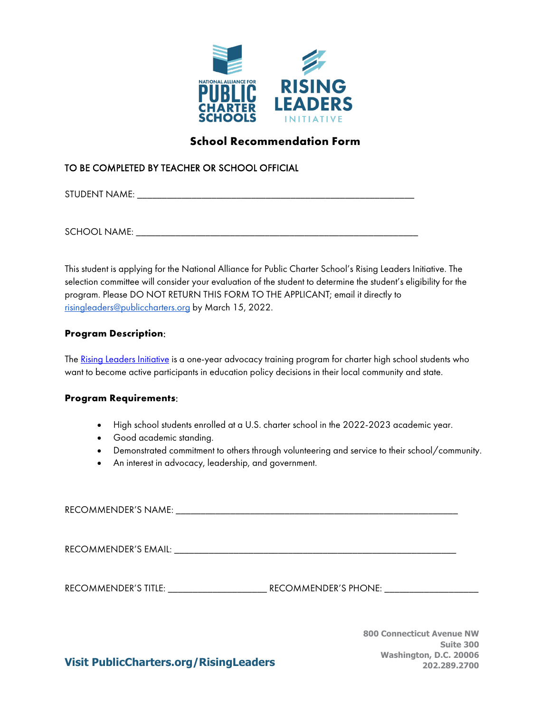

## **School Recommendation Form**

#### TO BE COMPLETED BY TEACHER OR SCHOOL OFFICIAL

STUDENT NAME: \_\_\_\_\_\_\_\_\_\_\_\_\_\_\_\_\_\_\_\_\_\_\_\_\_\_\_\_\_\_\_\_\_\_\_\_\_\_\_\_\_\_\_\_\_\_\_\_\_\_\_\_\_\_\_\_

SCHOOL NAME: \_\_\_\_\_\_\_\_\_\_\_\_\_\_\_\_\_\_\_\_\_\_\_\_\_\_\_\_\_\_\_\_\_\_\_\_\_\_\_\_\_\_\_\_\_\_\_\_\_\_\_\_\_\_\_\_\_

This student is applying for the National Alliance for Public Charter School's Rising Leaders Initiative. The selection committee will consider your evaluation of the student to determine the student's eligibility for the program. Please DO NOT RETURN THIS FORM TO THE APPLICANT; email it directly to [risingleaders@publiccharters.org](mailto:risingleaders@publiccharters.org) by March 15, 2022.

#### **Program Description**:

Th[e Rising Leaders Initiative](https://www.publiccharters.org/what-you-can-do/rising-leaders-initiative) is a one-year advocacy training program for charter high school students who want to become active participants in education policy decisions in their local community and state.

#### **Program Requirements**:

- High school students enrolled at a U.S. charter school in the 2022-2023 academic year.
- Good academic standing.
- Demonstrated commitment to others through volunteering and service to their school/community.
- An interest in advocacy, leadership, and government.

RECOMMENDER'S NAME: \_\_\_\_\_\_\_\_\_\_\_\_\_\_\_\_\_\_\_\_\_\_\_\_\_\_\_\_\_\_\_\_\_\_\_\_\_\_\_\_\_\_\_\_\_\_\_\_\_\_\_\_\_\_\_\_\_

RECOMMENDER'S EMAIL:  $\blacksquare$ 

RECOMMENDER'S TITLE: \_\_\_\_\_\_\_\_\_\_\_\_\_\_\_\_\_\_\_\_ RECOMMENDER'S PHONE: \_\_\_\_\_\_\_\_\_\_\_\_\_\_\_\_\_\_\_

**800 Connecticut Avenue NW Suite 300 Washington, D.C. 20006 202.289.2700**

**Visit PublicCharters.org/RisingLeaders**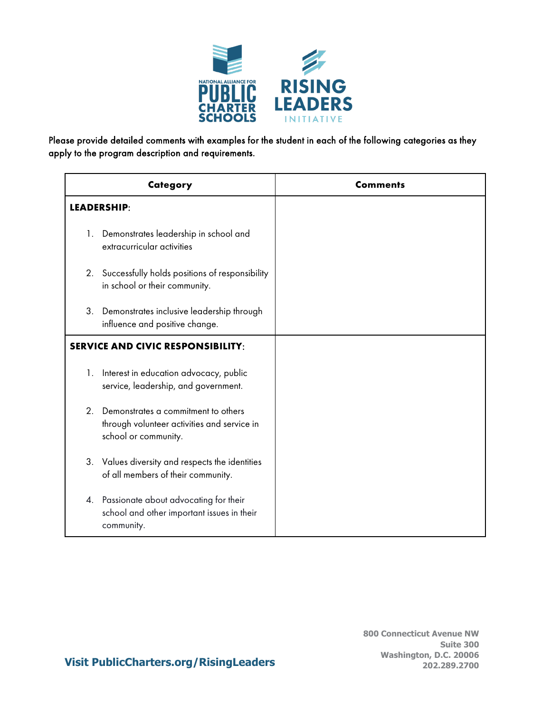

Please provide detailed comments with examples for the student in each of the following categories as they apply to the program description and requirements.

| Category                                 |                                                                                                            | <b>Comments</b> |
|------------------------------------------|------------------------------------------------------------------------------------------------------------|-----------------|
| LEADERSHIP:                              |                                                                                                            |                 |
| 1.                                       | Demonstrates leadership in school and<br>extracurricular activities                                        |                 |
| 2.                                       | Successfully holds positions of responsibility<br>in school or their community.                            |                 |
| 3.                                       | Demonstrates inclusive leadership through<br>influence and positive change.                                |                 |
| <b>SERVICE AND CIVIC RESPONSIBILITY:</b> |                                                                                                            |                 |
| 1.                                       | Interest in education advocacy, public<br>service, leadership, and government.                             |                 |
| 2 <sub>1</sub>                           | Demonstrates a commitment to others<br>through volunteer activities and service in<br>school or community. |                 |
|                                          | 3. Values diversity and respects the identities<br>of all members of their community.                      |                 |
| 4.                                       | Passionate about advocating for their<br>school and other important issues in their<br>community.          |                 |

### **Visit PublicCharters.org/RisingLeaders**